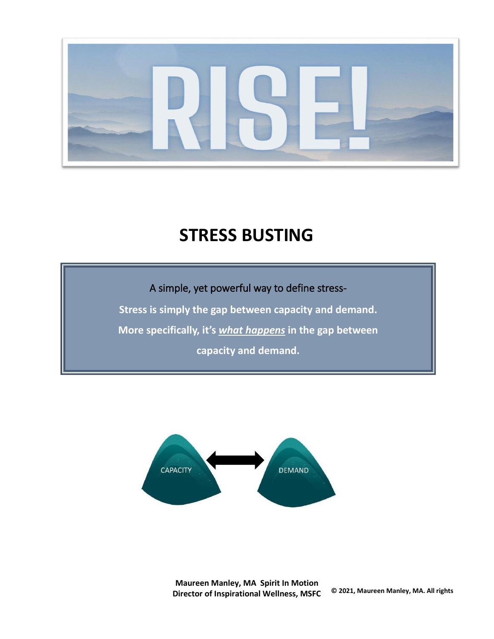

# **STRESS BUSTING**

A simple, yet powerful way to define stress-

**Stress is simply the gap between capacity and demand.**

**More specifically, it's** *what happens* **in the gap between** 

**capacity and demand.**



**Maureen Manley, MA Spirit In Motion Director of Inspirational Wellness, MSFC © 2021, Maureen Manley, MA. All rights**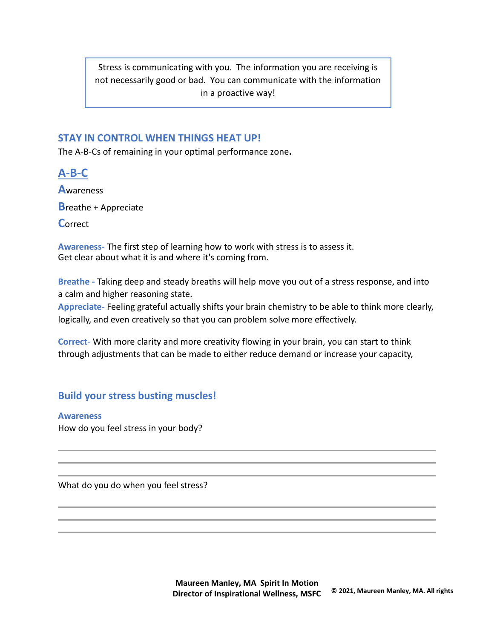Stress is communicating with you. The information you are receiving is not necessarily good or bad. You can communicate with the information in a proactive way!

## **STAY IN CONTROL WHEN THINGS HEAT UP!**

The A-B-Cs of remaining in your optimal performance zone**.**

**A-B-C A**wareness **B**reathe + Appreciate **C**orrect

**Awareness-** The first step of learning how to work with stress is to assess it. Get clear about what it is and where it's coming from.

**Breathe -** Taking deep and steady breaths will help move you out of a stress response, and into a calm and higher reasoning state.

**Appreciate-** Feeling grateful actually shifts your brain chemistry to be able to think more clearly, logically, and even creatively so that you can problem solve more effectively.

**Correct**- With more clarity and more creativity flowing in your brain, you can start to think through adjustments that can be made to either reduce demand or increase your capacity,

## **Build your stress busting muscles!**

**Awareness**

How do you feel stress in your body?

What do you do when you feel stress?

**Maureen Manley, MA Spirit In Motion Director of Inspirational Wellness, MSFC © 2021, Maureen Manley, MA. All rights**